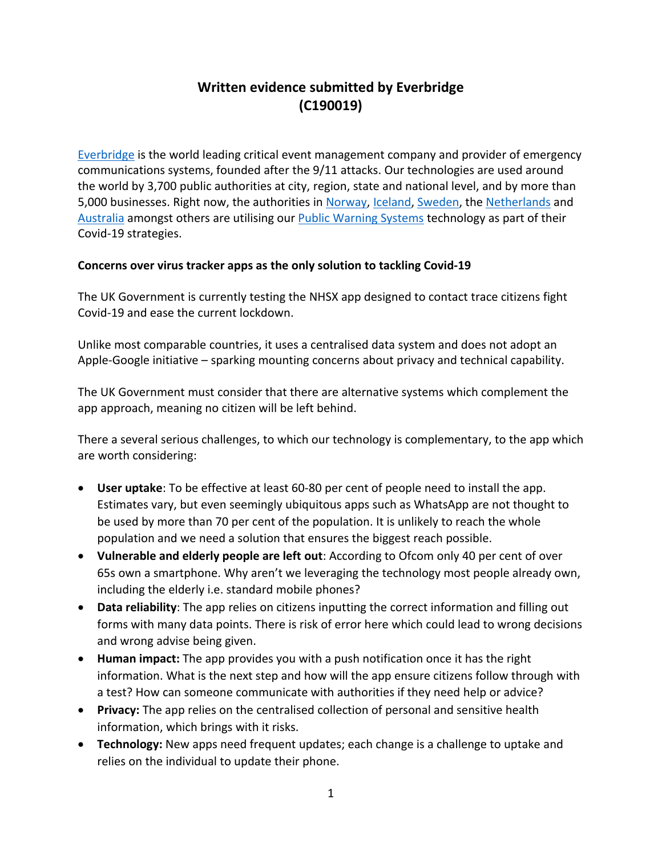## **Written evidence submitted by Everbridge (C190019)**

[Everbridge](http://www.everbridge.com/) is the world leading critical event management company and provider of emergency communications systems, founded after the 9/11 attacks. Our technologies are used around the world by 3,700 public authorities at city, region, state and national level, and by more than 5,000 businesses. Right now, the authorities in [Norway,](https://www.everbridge.com/newsroom/article/norwegian-government-strengthens-countrywide-preparedness-for-covid-19-with-everbridge/) [Iceland,](https://www.everbridge.com/customers/success-center/resource/customer-perspective-iceland/) [Sweden,](https://www.everbridge.com/newsroom/article/everbridge-announces-new-countrywide-population-alerting-successes/) the [Netherlands](https://www.everbridge.com/newsroom/article/everbridge-announces-new-countrywide-population-alerting-successes/) and [Australia](https://www.everbridge.com/newsroom/article/everbridge-to-power-nationwide-alerting-system-in-australia/) amongst others are utilising our [Public](https://www.everbridge.com/products/public-warning/) [Warning](https://www.everbridge.com/products/public-warning/) [Systems](https://www.everbridge.com/products/public-warning/) technology as part of their Covid-19 strategies.

## **Concerns over virus tracker apps as the only solution to tackling Covid-19**

The UK Government is currently testing the NHSX app designed to contact trace citizens fight Covid-19 and ease the current lockdown.

Unlike most comparable countries, it uses a centralised data system and does not adopt an Apple-Google initiative – sparking mounting concerns about privacy and technical capability.

The UK Government must consider that there are alternative systems which complement the app approach, meaning no citizen will be left behind.

There a several serious challenges, to which our technology is complementary, to the app which are worth considering:

- **User uptake**: To be effective at least 60-80 per cent of people need to install the app. Estimates vary, but even seemingly ubiquitous apps such as WhatsApp are not thought to be used by more than 70 per cent of the population. It is unlikely to reach the whole population and we need a solution that ensures the biggest reach possible.
- **Vulnerable and elderly people are left out**: According to Ofcom only 40 per cent of over 65s own a smartphone. Why aren't we leveraging the technology most people already own, including the elderly i.e. standard mobile phones?
- **Data reliability**: The app relies on citizens inputting the correct information and filling out forms with many data points. There is risk of error here which could lead to wrong decisions and wrong advise being given.
- **Human impact:** The app provides you with a push notification once it has the right information. What is the next step and how will the app ensure citizens follow through with a test? How can someone communicate with authorities if they need help or advice?
- **Privacy:** The app relies on the centralised collection of personal and sensitive health information, which brings with it risks.
- **Technology:** New apps need frequent updates; each change is a challenge to uptake and relies on the individual to update their phone.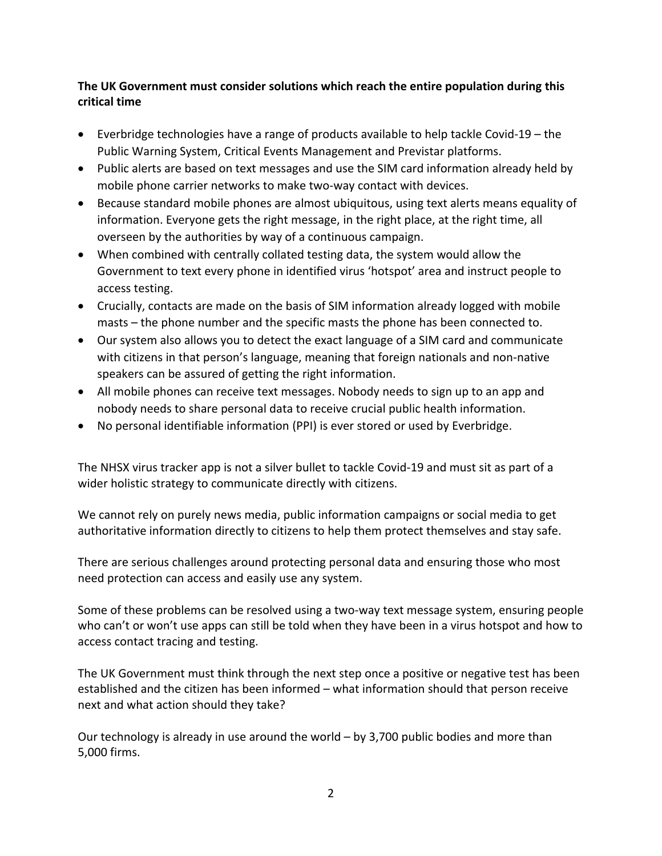## **The UK Government must consider solutions which reach the entire population during this critical time**

- Everbridge technologies have a range of products available to help tackle Covid-19 the Public Warning System, Critical Events Management and Previstar platforms.
- Public alerts are based on text messages and use the SIM card information already held by mobile phone carrier networks to make two-way contact with devices.
- Because standard mobile phones are almost ubiquitous, using text alerts means equality of information. Everyone gets the right message, in the right place, at the right time, all overseen by the authorities by way of a continuous campaign.
- When combined with centrally collated testing data, the system would allow the Government to text every phone in identified virus 'hotspot' area and instruct people to access testing.
- Crucially, contacts are made on the basis of SIM information already logged with mobile masts – the phone number and the specific masts the phone has been connected to.
- Our system also allows you to detect the exact language of a SIM card and communicate with citizens in that person's language, meaning that foreign nationals and non-native speakers can be assured of getting the right information.
- All mobile phones can receive text messages. Nobody needs to sign up to an app and nobody needs to share personal data to receive crucial public health information.
- No personal identifiable information (PPI) is ever stored or used by Everbridge.

The NHSX virus tracker app is not a silver bullet to tackle Covid-19 and must sit as part of a wider holistic strategy to communicate directly with citizens.

We cannot rely on purely news media, public information campaigns or social media to get authoritative information directly to citizens to help them protect themselves and stay safe.

There are serious challenges around protecting personal data and ensuring those who most need protection can access and easily use any system.

Some of these problems can be resolved using a two-way text message system, ensuring people who can't or won't use apps can still be told when they have been in a virus hotspot and how to access contact tracing and testing.

The UK Government must think through the next step once a positive or negative test has been established and the citizen has been informed – what information should that person receive next and what action should they take?

Our technology is already in use around the world – by 3,700 public bodies and more than 5,000 firms.